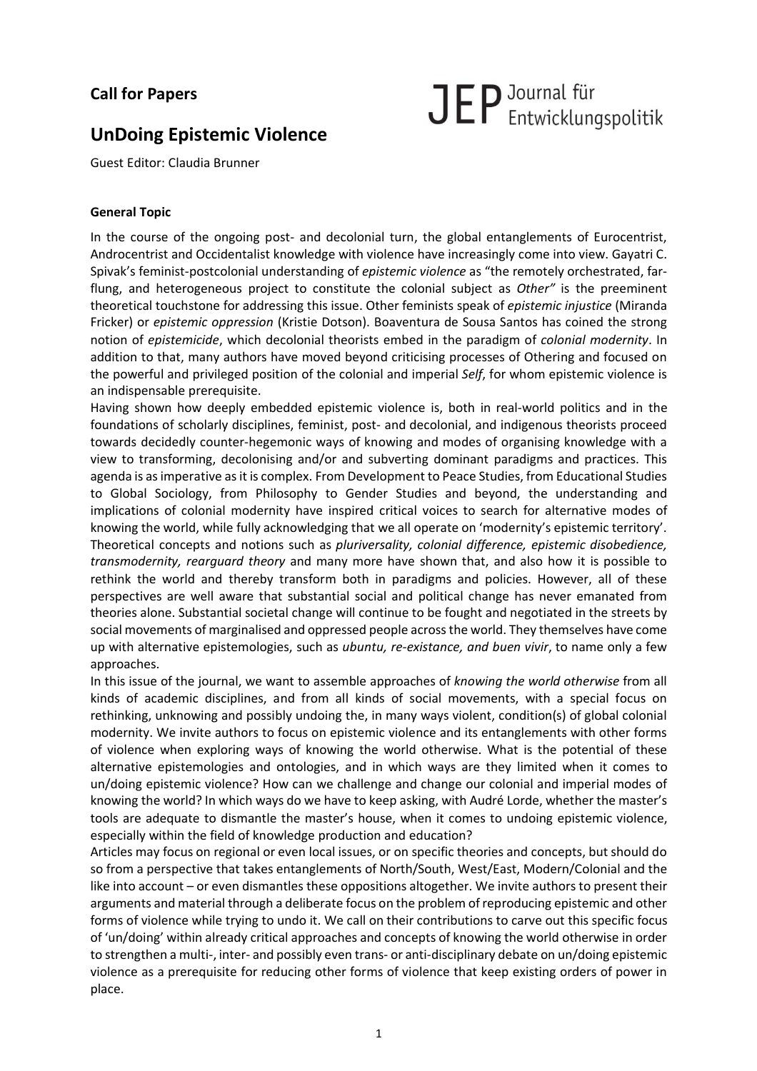# **Call for Papers**

# JEP Journal für<br>
Entwicklungspolitik

# **UnDoing Epistemic Violence**

Guest Editor: Claudia Brunner

## **General Topic**

In the course of the ongoing post- and decolonial turn, the global entanglements of Eurocentrist, Androcentrist and Occidentalist knowledge with violence have increasingly come into view. Gayatri C. Spivak's feminist-postcolonial understanding of *epistemic violence* as "the remotely orchestrated, farflung, and heterogeneous project to constitute the colonial subject as *Other"* is the preeminent theoretical touchstone for addressing this issue. Other feminists speak of *epistemic injustice* (Miranda Fricker) or *epistemic oppression* (Kristie Dotson). Boaventura de Sousa Santos has coined the strong notion of *epistemicide*, which decolonial theorists embed in the paradigm of *colonial modernity*. In addition to that, many authors have moved beyond criticising processes of Othering and focused on the powerful and privileged position of the colonial and imperial *Self*, for whom epistemic violence is an indispensable prerequisite.

Having shown how deeply embedded epistemic violence is, both in real-world politics and in the foundations of scholarly disciplines, feminist, post- and decolonial, and indigenous theorists proceed towards decidedly counter-hegemonic ways of knowing and modes of organising knowledge with a view to transforming, decolonising and/or and subverting dominant paradigms and practices. This agenda is as imperative as it is complex. From Development to Peace Studies, from Educational Studies to Global Sociology, from Philosophy to Gender Studies and beyond, the understanding and implications of colonial modernity have inspired critical voices to search for alternative modes of knowing the world, while fully acknowledging that we all operate on 'modernity's epistemic territory'. Theoretical concepts and notions such as *pluriversality, colonial difference, epistemic disobedience, transmodernity, rearguard theory* and many more have shown that, and also how it is possible to rethink the world and thereby transform both in paradigms and policies. However, all of these perspectives are well aware that substantial social and political change has never emanated from theories alone. Substantial societal change will continue to be fought and negotiated in the streets by social movements of marginalised and oppressed people acrossthe world. They themselves have come up with alternative epistemologies, such as *ubuntu, re-existance, and buen vivir*, to name only a few approaches.

In this issue of the journal, we want to assemble approaches of *knowing the world otherwise* from all kinds of academic disciplines, and from all kinds of social movements, with a special focus on rethinking, unknowing and possibly undoing the, in many ways violent, condition(s) of global colonial modernity. We invite authors to focus on epistemic violence and its entanglements with other forms of violence when exploring ways of knowing the world otherwise. What is the potential of these alternative epistemologies and ontologies, and in which ways are they limited when it comes to un/doing epistemic violence? How can we challenge and change our colonial and imperial modes of knowing the world? In which ways do we have to keep asking, with Audré Lorde, whether the master's tools are adequate to dismantle the master's house, when it comes to undoing epistemic violence, especially within the field of knowledge production and education?

Articles may focus on regional or even local issues, or on specific theories and concepts, but should do so from a perspective that takes entanglements of North/South, West/East, Modern/Colonial and the like into account – or even dismantles these oppositions altogether. We invite authors to present their arguments and material through a deliberate focus on the problem ofreproducing epistemic and other forms of violence while trying to undo it. We call on their contributions to carve out this specific focus of 'un/doing' within already critical approaches and concepts of knowing the world otherwise in order to strengthen a multi-, inter- and possibly even trans- or anti-disciplinary debate on un/doing epistemic violence as a prerequisite for reducing other forms of violence that keep existing orders of power in place.